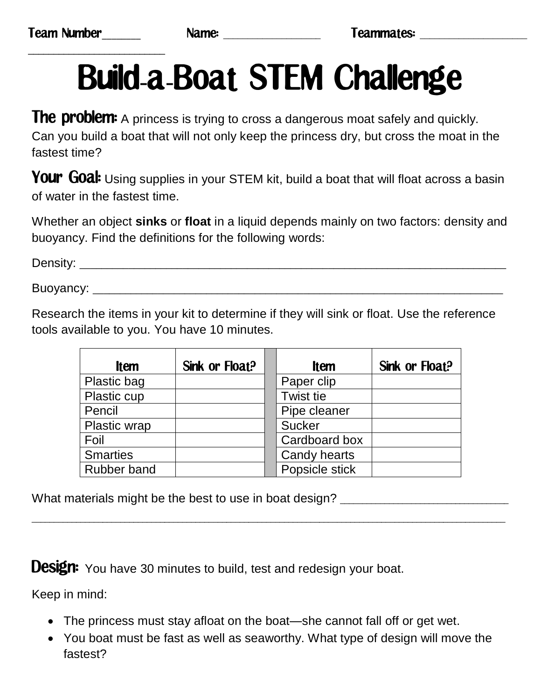\_\_\_\_\_\_\_\_\_\_\_\_\_\_\_\_\_\_\_\_\_\_\_\_\_\_\_

## Build-a-Boat STEM Challenge

The problem: A princess is trying to cross a dangerous moat safely and quickly. Can you build a boat that will not only keep the princess dry, but cross the moat in the fastest time?

**Your Goal:** Using supplies in your STEM kit, build a boat that will float across a basin of water in the fastest time.

Whether an object **sinks** or **float** in a liquid depends mainly on two factors: density and buoyancy. Find the definitions for the following words:

Density: \_\_\_\_\_\_\_\_\_\_\_\_\_\_\_\_\_\_\_\_\_\_\_\_\_\_\_\_\_\_\_\_\_\_\_\_\_\_\_\_\_\_\_\_\_\_\_\_\_\_\_\_\_\_\_\_\_\_\_\_\_\_\_\_\_\_\_\_\_\_\_\_\_\_\_\_\_\_\_

Buoyancy: \_\_\_\_\_\_\_\_\_\_\_\_\_\_\_\_\_\_\_\_\_\_\_\_\_\_\_\_\_\_\_\_\_\_\_\_\_\_\_\_\_\_\_\_\_\_\_\_\_\_\_\_\_\_\_\_\_\_\_\_\_\_\_\_\_\_\_\_\_\_\_\_\_\_\_\_

Research the items in your kit to determine if they will sink or float. Use the reference tools available to you. You have 10 minutes.

| <b>Item</b>        | Sink or Float? | <b>Item</b>      | Sink or Float? |
|--------------------|----------------|------------------|----------------|
| Plastic bag        |                | Paper clip       |                |
| Plastic cup        |                | <b>Twist tie</b> |                |
| Pencil             |                | Pipe cleaner     |                |
| Plastic wrap       |                | <b>Sucker</b>    |                |
| Foil               |                | Cardboard box    |                |
| <b>Smarties</b>    |                | Candy hearts     |                |
| <b>Rubber band</b> |                | Popsicle stick   |                |

\_\_\_\_\_\_\_\_\_\_\_\_\_\_\_\_\_\_\_\_\_\_\_\_\_\_\_\_\_\_\_\_\_\_\_\_\_\_\_\_\_\_\_\_\_\_\_\_\_\_\_\_\_\_\_\_\_\_\_\_\_\_\_\_\_\_\_\_\_\_\_\_\_\_\_\_\_\_\_\_\_\_\_\_\_\_\_\_\_\_\_\_\_\_\_\_\_\_\_\_\_\_\_\_\_\_\_

What materials might be the best to use in boat design? \_\_\_\_\_\_\_\_\_\_\_\_\_\_\_\_\_\_\_\_\_\_\_\_

**Design:** You have 30 minutes to build, test and redesign your boat.

Keep in mind:

- The princess must stay afloat on the boat—she cannot fall off or get wet.
- You boat must be fast as well as seaworthy. What type of design will move the fastest?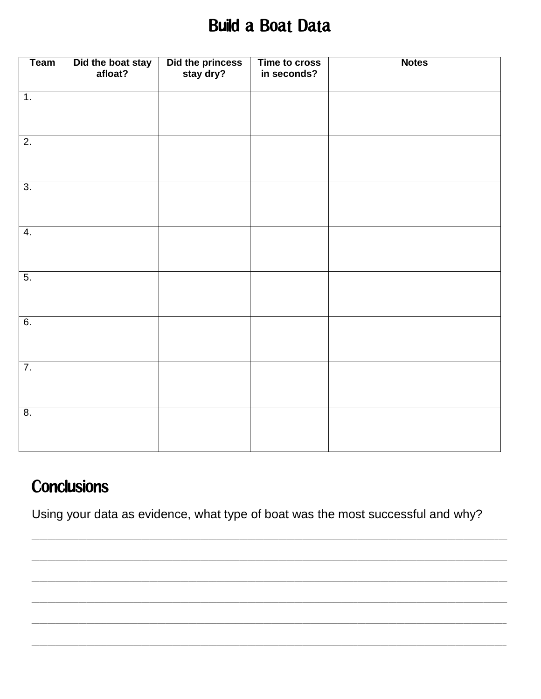## **Build a Boat Data**

| <b>Team</b>      | Did the boat stay<br>afloat? | Did the princess<br>stay dry? | Time to cross<br>in seconds? | <b>Notes</b> |
|------------------|------------------------------|-------------------------------|------------------------------|--------------|
| $\overline{1}$ . |                              |                               |                              |              |
| $\overline{2}$ . |                              |                               |                              |              |
| $\overline{3}$ . |                              |                               |                              |              |
| $\overline{4}$ . |                              |                               |                              |              |
| $\overline{5}$ . |                              |                               |                              |              |
| 6.               |                              |                               |                              |              |
| $\overline{7}$ . |                              |                               |                              |              |
| 8.               |                              |                               |                              |              |

## **Conclusions**

Using your data as evidence, what type of boat was the most successful and why?